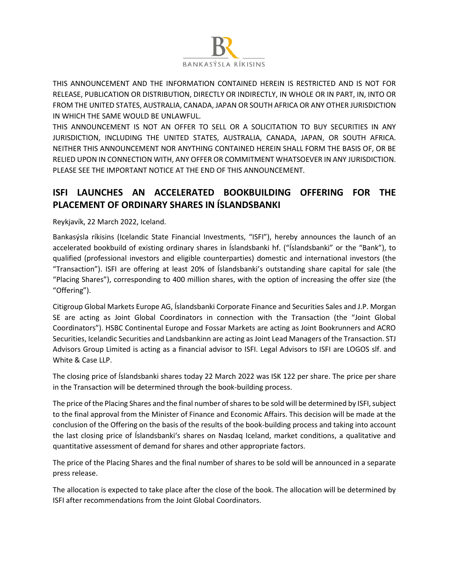

THIS ANNOUNCEMENT AND THE INFORMATION CONTAINED HEREIN IS RESTRICTED AND IS NOT FOR RELEASE, PUBLICATION OR DISTRIBUTION, DIRECTLY OR INDIRECTLY, IN WHOLE OR IN PART, IN, INTO OR FROM THE UNITED STATES, AUSTRALIA, CANADA, JAPAN OR SOUTH AFRICA OR ANY OTHER JURISDICTION IN WHICH THE SAME WOULD BE UNLAWFUL.

THIS ANNOUNCEMENT IS NOT AN OFFER TO SELL OR A SOLICITATION TO BUY SECURITIES IN ANY JURISDICTION, INCLUDING THE UNITED STATES, AUSTRALIA, CANADA, JAPAN, OR SOUTH AFRICA. NEITHER THIS ANNOUNCEMENT NOR ANYTHING CONTAINED HEREIN SHALL FORM THE BASIS OF, OR BE RELIED UPON IN CONNECTION WITH, ANY OFFER OR COMMITMENT WHATSOEVER IN ANY JURISDICTION. PLEASE SEE THE IMPORTANT NOTICE AT THE END OF THIS ANNOUNCEMENT.

## **ISFI LAUNCHES AN ACCELERATED BOOKBUILDING OFFERING FOR THE PLACEMENT OF ORDINARY SHARES IN ÍSLANDSBANKI**

Reykjavík, 22 March 2022, Iceland.

Bankasýsla ríkisins (Icelandic State Financial Investments, "ISFI"), hereby announces the launch of an accelerated bookbuild of existing ordinary shares in Íslandsbanki hf. ("Íslandsbanki" or the "Bank"), to qualified (professional investors and eligible counterparties) domestic and international investors (the "Transaction"). ISFI are offering at least 20% of Íslandsbanki's outstanding share capital for sale (the "Placing Shares"), corresponding to 400 million shares, with the option of increasing the offer size (the "Offering").

Citigroup Global Markets Europe AG, Íslandsbanki Corporate Finance and Securities Sales and J.P. Morgan SE are acting as Joint Global Coordinators in connection with the Transaction (the "Joint Global Coordinators"). HSBC Continental Europe and Fossar Markets are acting as Joint Bookrunners and ACRO Securities, Icelandic Securities and Landsbankinn are acting as Joint Lead Managers of the Transaction. STJ Advisors Group Limited is acting as a financial advisor to ISFI. Legal Advisors to ISFI are LOGOS slf. and White & Case LLP.

The closing price of Íslandsbanki shares today 22 March 2022 was ISK 122 per share. The price per share in the Transaction will be determined through the book-building process.

The price of the Placing Shares and the final number of shares to be sold will be determined by ISFI, subject to the final approval from the Minister of Finance and Economic Affairs. This decision will be made at the conclusion of the Offering on the basis of the results of the book-building process and taking into account the last closing price of Íslandsbanki's shares on Nasdaq Iceland, market conditions, a qualitative and quantitative assessment of demand for shares and other appropriate factors.

The price of the Placing Shares and the final number of shares to be sold will be announced in a separate press release.

The allocation is expected to take place after the close of the book. The allocation will be determined by ISFI after recommendations from the Joint Global Coordinators.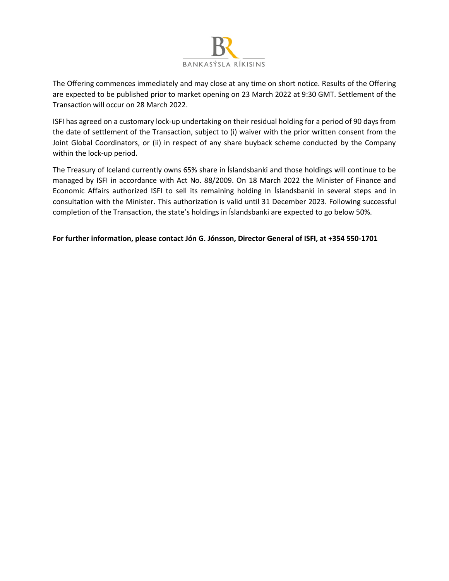

The Offering commences immediately and may close at any time on short notice. Results of the Offering are expected to be published prior to market opening on 23 March 2022 at 9:30 GMT. Settlement of the Transaction will occur on 28 March 2022.

ISFI has agreed on a customary lock-up undertaking on their residual holding for a period of 90 days from the date of settlement of the Transaction, subject to (i) waiver with the prior written consent from the Joint Global Coordinators, or (ii) in respect of any share buyback scheme conducted by the Company within the lock-up period.

The Treasury of Iceland currently owns 65% share in Íslandsbanki and those holdings will continue to be managed by ISFI in accordance with Act No. 88/2009. On 18 March 2022 the Minister of Finance and Economic Affairs authorized ISFI to sell its remaining holding in Íslandsbanki in several steps and in consultation with the Minister. This authorization is valid until 31 December 2023. Following successful completion of the Transaction, the state's holdings in Íslandsbanki are expected to go below 50%.

## **For further information, please contact Jón G. Jónsson, Director General of ISFI, at +354 550-1701**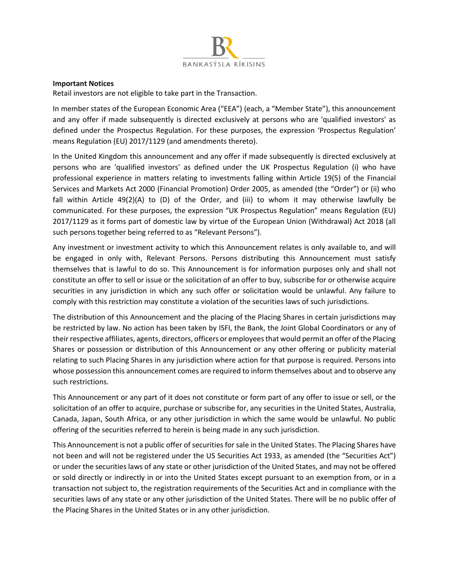

## **Important Notices**

Retail investors are not eligible to take part in the Transaction.

In member states of the European Economic Area ("EEA") (each, a "Member State"), this announcement and any offer if made subsequently is directed exclusively at persons who are 'qualified investors' as defined under the Prospectus Regulation. For these purposes, the expression 'Prospectus Regulation' means Regulation (EU) 2017/1129 (and amendments thereto).

In the United Kingdom this announcement and any offer if made subsequently is directed exclusively at persons who are 'qualified investors' as defined under the UK Prospectus Regulation (i) who have professional experience in matters relating to investments falling within Article 19(5) of the Financial Services and Markets Act 2000 (Financial Promotion) Order 2005, as amended (the "Order") or (ii) who fall within Article  $49(2)(A)$  to (D) of the Order, and (iii) to whom it may otherwise lawfully be communicated. For these purposes, the expression "UK Prospectus Regulation" means Regulation (EU) 2017/1129 as it forms part of domestic law by virtue of the European Union (Withdrawal) Act 2018 (all such persons together being referred to as "Relevant Persons").

Any investment or investment activity to which this Announcement relates is only available to, and will be engaged in only with, Relevant Persons. Persons distributing this Announcement must satisfy themselves that is lawful to do so. This Announcement is for information purposes only and shall not constitute an offer to sell or issue or the solicitation of an offer to buy, subscribe for or otherwise acquire securities in any jurisdiction in which any such offer or solicitation would be unlawful. Any failure to comply with this restriction may constitute a violation of the securities laws of such jurisdictions.

The distribution of this Announcement and the placing of the Placing Shares in certain jurisdictions may be restricted by law. No action has been taken by ISFI, the Bank, the Joint Global Coordinators or any of their respective affiliates, agents, directors, officers or employees that would permit an offer of the Placing Shares or possession or distribution of this Announcement or any other offering or publicity material relating to such Placing Shares in any jurisdiction where action for that purpose is required. Persons into whose possession this announcement comes are required to inform themselves about and to observe any such restrictions.

This Announcement or any part of it does not constitute or form part of any offer to issue or sell, or the solicitation of an offer to acquire, purchase or subscribe for, any securities in the United States, Australia, Canada, Japan, South Africa, or any other jurisdiction in which the same would be unlawful. No public offering of the securities referred to herein is being made in any such jurisdiction.

This Announcement is not a public offer of securities for sale in the United States. The Placing Shares have not been and will not be registered under the US Securities Act 1933, as amended (the "Securities Act") or under the securities laws of any state or other jurisdiction of the United States, and may not be offered or sold directly or indirectly in or into the United States except pursuant to an exemption from, or in a transaction not subject to, the registration requirements of the Securities Act and in compliance with the securities laws of any state or any other jurisdiction of the United States. There will be no public offer of the Placing Shares in the United States or in any other jurisdiction.